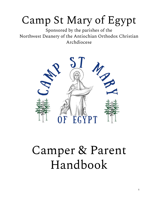## Camp St Mary of Egypt

Sponsored by the parishes of the Northwest Deanery of the Antiochian Orthodox Christian Archdiocese



# Camper & Parent Handbook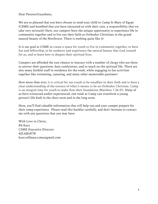Dear Parents/Guardians,

We are so pleased that you have chosen to send your child to Camp St Mary of Egypt (CSME) and humbled that you have entrusted us with their care, a responsibility that we take very seriously! Here, our campers have the unique opportunity to experience life in community together and to live out their faith as Orthodox Christians in the grand natural beauty of the Northwest. There is nothing quite like it!

It is our goal at CSME to create a space for youth to live in community together, to have fun and fellowship, to be outdoors and experience the natural beauty that God created for us, and to learn how to deepen their spiritual lives.

Campers are afforded the rare chance to interact with a number of clergy who are there to answer their questions, hear confessions, and to teach on the spiritual life. There are also many faithful staff in residence for the week, while engaging in fun activities together like swimming, canoeing, and many other memorable pastimes!

Now more than ever, it is critical for our youth to be steadfast in their faith and to have a clear understanding of the essence of what it means to be an Orthodox Christian. Camp is an integral time for youth to make firm their foundation (Matthew 7.24-27). Many of us have witnessed and/or experienced, one week at Camp can transform a young person's life both in the short term and in the long term.

Here, you'll find valuable information that will help you and your camper prepare for their camp experience. Please read this booklet carefully, and don't hesitate to contact me with any questions that you may have.

With Love in Christ, Kh Kara CSME Executive Director 425.420.8778 kara.vollman.csme@gmail.com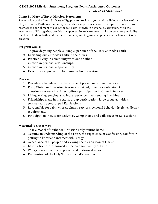#### **CSME 2022 Mission Statement, Program Goals, Anticipated Outcomes**

CR 2.1, CR 2.2, CR 2.3, CR 2.4

#### **Camp St. Mary of Egypt Mission Statement:**

The mission of the Camp St. Mary of Egypt is to provide to youth with a living experience of the Holy Orthodox Faith in community with other campers in a peaceful camp environment. We promote the enrichment of our Orthodox Faith, growth in personal relationships with the experience of life together, provide the opportunity to learn how to take personal responsibility for themself, their faith, and their environment, and to gain an appreciation for living in God's creation.

#### **Program Goals:**

- 1) To provide young people a living experience of the Holy Orthodox Faith
- 2) Enriching our Orthodox Faith in their lives
- 3) Practice living in community with one another
- 4) Growth in personal relationships.
- 5) Growth in personal responsibility.
- 6) Develop an appreciation for living in God's creation

#### **Process:**

- 1) Provide a schedule with a daily cycle of prayer and Church Services
- 2) Daily Christian Education Sessions provided, time for Confession, faith questions answered by Priests, direct participation in Church Services
- 3) Living, eating, praying, sharing, experiences and sleeping in cabins
- 4) Friendships made in the cabin, group participation, large group activities, services, and age-grouped Ed. Sessions
- 5) Responsible for cabin chores, church services, personal behavior, hygiene, dietary requirements
- 6) Participation in outdoor activities, Camp theme and daily focus in Ed. Sessions

#### **Measurable Outcomes:**

- 1) Take a model of Orthodox Christian daily routine home
- 2) Acquire an understanding of the Faith, the experience of Confession, comfort in getting to know and interact with Clergy
- 3) Acceptance of all people and viewing them as an icon of Christ
- 4) Lasting friendships formed in the common family of Faith
- 5) Work/chores done in acceptance and performed in love
- 6) Recognition of the Holy Trinity in God's creation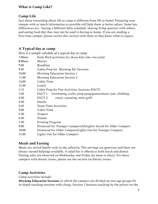#### **What is Camp Like?**

## **Camp Life**

Just about everything about life at camp is different from life at home! Preparing your camper with as much information as possible will help them to better adjust. Some key differences are - having a different daily schedule, sharing living quarters with others, and eating food that they may not be used to having at home. If you are sending a first-time camper, please review this section with them so they know what to expect.

## **A Typical day at camp**

| Here is a sample schedule of a typical day at camp:                         |  |
|-----------------------------------------------------------------------------|--|
| Early Bird (activities for those kids who rise early)                       |  |
| Matins                                                                      |  |
| <b>Breakfast</b>                                                            |  |
| Cabin Prep for Morning Ed. Sessions                                         |  |
| Morning Education Session 1                                                 |  |
| Morning Education Session 2                                                 |  |
| Cabin Time                                                                  |  |
| Lunch                                                                       |  |
| Cabin Prep for Fun Activities Sessions (FACT)                               |  |
| FACT <sub>1</sub><br>(swimming, crafts, ping pong/games/music jam, climbing |  |
| FACT <sub>2</sub><br>tower, canoeing, mini-golf)                            |  |
| Snacks                                                                      |  |
| <b>Team Time Activities</b>                                                 |  |
| Cabin Time                                                                  |  |
| Vespers                                                                     |  |
| Dinner                                                                      |  |
| Evening Program                                                             |  |
| Dismissal for Younger Campers/Afterglow Social for Older Campers            |  |
| Dismissal for Older Campers/Lights Out for Younger Campers                  |  |
| Lights Out for Older Campers                                                |  |
|                                                                             |  |

## **Meals and Fasting**

Meals are served family-style in the cafeteria. The servings are generous and there are always second helpings available. A salad bar is offered at both lunch and dinner. Fasting rules are observed on Wednesday and Friday (no meat or dairy). For those campers with dietary issues, please see the section on dietary issues.

#### **Camp Activities**

Camp activities include:

**Morning Education Sessions** in which the campers are divided up into age groups for in-depth teaching sessions with clergy. Session 1 features teaching by the priests on the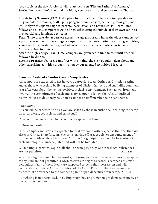focus topic of the day. Session 2 will rotate between "Fire on Father/Ask Abouna," Stories from the saint's lives and the Bible, a service craft, and service to the Church.

**Fun Activity Sessions (FACT)** take place following lunch. There are two per day and they include: swimming, crafts, ping pong/games/music jam, canoeing, mini-golf, rock wall (only with separate signed parental permission) and nature walks. Team Time follows and allows campers to get to know other campers outside of their own cabin as they participate in mixed-age teams.

**Team Time** breaks down barriers across the age groups and helps the older campers set a positive example for the younger campers, all while participating in exciting activities, scavenger hunts, water games, and whatever other creative activities our talented Activities Director chooses!!

After the high-energy Team Time, campers are given cabin time to rest until Vespers followed by dinner.

**Evening Program** features campfires with singing, the ever-popular talent show, and other surprising activities brought to you by our talented Activities Director!

#### **Camper Code of Conduct and Camp Rules:**

All campers are expected to act in ways appropriate to an Orthodox Christian setting and as those who seek to be living examples of Christ. Campers and staff alike comment year after year about the loving, positive, inclusive environment. Such an environment involves the commitment of each and every camper to follow the rules as outlined below. Failure to do so may result in a camper or staff member being sent home.

#### *Camp Rules:*

1. You will be expected to do as you are asked by those in authority, including the camp director, clergy, counselors, and camp staff.

2. When someone is speaking, you must be quiet and listen.

3. Dress modestly.

4. All campers and staff are expected to treat everyone with respect as their brother and sister in Christ. Therefore, any exclusive pairing off as a couple, or encouragement of this behavior (through talking about "crushes" or gossiping, etc.) or the formation of exclusive cliques is unacceptable and will not be tolerated.

5. Smoking, cigarettes, vaping, alcoholic beverages, drugs or other illegal substances, are not permitted. (AD 16.1)

6. Knives, lighters, matches, fireworks, firearms, and other dangerous items or weapons of any kind are not permitted. CSME reserves the right to search a camper's or staff's belongings if any of these items are suspected to be in their possession and will confiscate such items. At the discretion of the Camp Director, these items may be disposed of or returned to the camper's parent upon departure from camp. (AD 16.1)

7. Fighting is not permitted, including rough housing which might damage property or hurt smaller campers.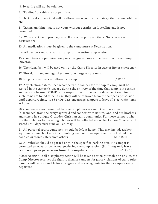8. Swearing will not be tolerated.

9. "Raiding" of cabins is not permitted.

10. NO pranks of any kind will be allowed—on your cabin mates, other cabins, siblings, etc.

11. Taking anything that is not yours without permission is stealing and is not permitted.

12. We respect camp property as well as the property of others. No defacing or destruction!

13. All medications must be given to the camp nurse at Registration.

14. All campers must remain at camp for the entire camp session.

15. Camp fires are permitted only in a designated area at the direction of the Camp Director.

16. The signal bell will be used only by the Camp Director in case of fire or emergency.

17. Fire alarms and extinguishers are for emergency use only.

18. No pets or animals are allowed at camp. (AD16.1)

19. Any electronic items that accompany the camper for the trip to camp must be stowed in the camper's luggage during the entirety of the time that camp is in session and may not be used. CSME is not responsible for the loss or damage of such items. If such items are found to be in use, they will be removed from the camper's possession until departure time. We STRONGLY encourage campers to leave all electronic items at home.

20. Campers are not permitted to have cell phones at camp. Camp is a time to "disconnect" from the everyday world and connect with nature, God, and our brothers and sisters in a unique Orthodox Christian camp community. For those campers who use their phones for traveling, phones will be collected upon check-in on Monday, and stored until departure time on Saturday.

21. All personal sports equipment should be left at home. This may include archery equipment, bats, hockey sticks, climbing gear, or other equipment which should be handled or stored safely from others. (AD 16.1)

22. All vehicles should be parked only in the specified parking area. No camper is permitted to leave, or come and go, during the camp session. (**Staff may only leave camp** with prior permission from the camp director). (AD 9.1)

*Please Note:*While all disciplinary action will be taken to attempt resolution on site, the Camp Director reserves the right to dismiss campers for gross violations of camp rules. Parents will be responsible for arranging and covering costs for their camper's early departure.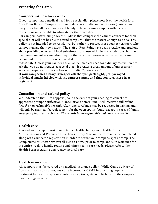## **Preparing for Camp**

#### **Campers with dietary issues**

If your camper has a medical need for a special diet, please note it on the health form. Ross Point Baptist Camp can accommodate certain dietary restrictions (gluten-free or dairy-free), but all meals are served family style and those campers with dietary restrictions must be able to advocate for their own diet.

For campers' safety, our policy at CSME is that campers who cannot advocate for their special diet will not be able to attend camp until they are mature enough to do so. This policy is not intended to be restrictive, but rather to protect those younger campers who cannot manage their own diets. The staff at Ross Point have been creative and gracious about providing wonderful food substitutes for those with dietary restrictions, but the food environment at camp does require that a camper knows what he can and cannot eat and ask for substitutes when needed.

*Please note:* Unless your camper has an actual medical need for a dietary restriction, we ask that you do not request a special diet—it creates a great amount of unnecessary work and expense for the kitchen staff for diet "preferences".

**If your camper has dietary issues, we ask that you pack eight, pre-packaged, individual snacks labeled with the camper's name and that you turn these in at registration.**

## **Cancellation and refund policy**

We understand that "life happens", so in the event of your needing to cancel, we appreciate prompt notification. Cancellations before June 1 will receive a full refund *(less the non-refundable deposit)*. After June 1, refunds may be requested in writing and will only be granted if a replacement for the open spot is found, except in cases of family emergency (not family choice). *The deposit is non-refundable and non-transferable.*

## **Health care**

You and your camper must complete the Health History and Health Profile, Authorizations and Permissions in their entirety. This online form must be completed along with your camp registration in order to secure your camper's spot at camp. The Camp Nurse or Doctor reviews all Health Forms prior to camp, and is in residence for the entire week to handle routine and minor health care needs. Please refer to the Health Form regarding emergency medical care.

## **Health insurance**

All campers must be covered by a medical insurance policy. While Camp St Mary of Egypt will act as guarantor, any costs incurred by CSME in providing required treatment for doctor's appointments, prescriptions, etc. will be billed to the camper's parents or guardians.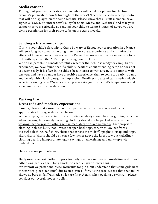#### **Media consent**

Throughout your camper's stay, staff members will be taking photos for the final evening's photo slideshow (a highlight of the week!). There will also be a camp photo that will be displayed on the camp website. Please know that all staff members have signed a "CSME Volunteer Staff Policy for Social Media and Websites" and take your camper's privacy seriously. By sending your child to Camp St Mary of Egypt, you are giving permission for their photo to be on the camp website.

#### **Sending a first-time camper**

If this is your child's first trip to Camp St Mary of Egypt, your preparation in advance will go a long way towards helping them have a great experience and minimize the effects of homesickness. Please visit the Parent Resources section of our website for a link with tips from the ACA on preventing homesickness.

We do ask parents to consider carefully whether their child is ready for camp. In our experience, we have found that if a child is hesitant about attending camp or does not yet seem ready, it is often in the child's best interest to wait a year. It is better to wait one year and have a camper have a positive experience, than to come too early to camp and be left with a lasting negative impression. Readiness to attend camp varies widely, especially among 9- to 12-year-olds, so please take your own child's temperament and social maturity into consideration.

## **Packing List**

#### **Dress code and modesty expectations**

Parents, please make sure that your camper respects the dress code and packs appropriate clothing as described below.

While camp is, by nature, informal, Christian modesty should be your guiding principle when packing. Excessively revealing clothing should not be packed as any camper wearing inappropriate clothing will immediately be asked to change. Inappropriate clothing includes but is not limited to: open back tops, tops with low-cut fronts, too-tight clothing, half shirts, shirts that expose the midriff, spaghetti-strap tank tops, short shorts (shorts should be worn a few inches above the knee), low-cut waistlines, clothing bearing inappropriate logos, sayings, or advertising, and tank-top-style undershirts.

Here are some particulars--

**Daily wear:** the best clothes to pack for daily wear at camp are a loose-fitting t-shirt and either long pants, capris, long shorts, or knee-length or lower skirts.

**Swimwear:** we prefer one-piece swimsuits for girls, but understand that some girls need to wear two-piece "tankinis" due to size issues. If this is the case, we ask that the tankini shows no bare midriff (athletic styles are fine). Again, when packing a swimsuit, please consider our overall modesty policy.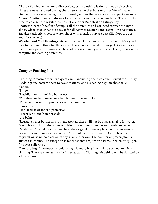**Church Service Attire:** for daily services, camp clothing is fine, although sleeveless shirts are never allowed during church services (either boys or girls). We will have Divine Liturgy once during the camp week, and for that we ask that you pack one nice "church" outfit—skirts or dresses for girls, pants and nice shirt for boys. There will be time to change into regular "camp clothes" after Breakfast on Liturgy day. **Footwear:** part of the fun of camp is all the activities and you need to wear the right shoes. Close-toed shoes are a must for all Activity Sessions and Team Time Activities. Sneakers, athletic shoes, or water shoes with a back-strap are best (flip flops are best kept for showers).

**Weather and Cool Evenings:** since it has been known to rain during camp, it's a good idea to pack something for the rain such as a hooded sweatshirt or jacket as well as a pair of long pants. Evenings can be cool, so these same garments can keep you warm for campfire and evening activities.

#### **Camper Packing List**

\*Clothing & footwear for six days of camp, including one nice church outfit for Liturgy \*Bedding: one bottom sheet to cover mattress and a sleeping bag OR sheet set &

blankets \*Pillow

\*Flashlight (with working batteries)

\*Towels—one bath towel, one beach towel, one washcloth

\*Toiletries (no aerosol products such as hairspray)

\*Sunscreen

\*Hat/Head scarf for sun protection

\*Insect repellant (non-aerosol)

\*Lip balm

\*Reusable water bottle: this is mandatory as there will not be cups available for water. \*Small backpack for afternoon activities: to carry sunscreen, water bottle, towel, etc. \*Medicine: All medications must have the original pharmacy label, with your name and dosage instructions clearly marked. These will be turned into the Camp Nurse at registration as no medication of any kind, either over-the-counter or prescription, is allowed in cabins. The exception is for those that require an asthma inhaler, or epi-pen for severe allergies.

\*Laundry bag: All campers should bring a laundry bag in which to accumulate dirty clothing. There are no laundry facilities at camp. Clothing left behind will be donated to a local charity.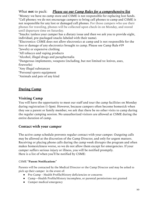## What **not** to pack: *Please see our Camp Rules for a comprehensive list*

\*Money: we have no camp store and CSME is not responsible for replacing lost funds. \*Cell phones: we do not encourage campers to bring cell phones to camp and CSME is not responsible for any lost or damaged cell phones. For those campers who use their phones for traveling, phones will be collected upon check-in on Monday, and stored until departure time on Saturday.

\*Snacks: (unless your camper has a dietary issue and then we ask you to provide eight, individual, pre-packaged snacks labeled with their name).

\*Electronics: CSME does not allow electronics at camp and is not responsible for the loss or damage of any electronics brought to camp. Please see Camp Rule #19

\*Jewelry or expensive clothing

\*All tobacco and vaping products

\*Alcohol, illegal drugs and paraphernalia

\*Dangerous implements, weapons (including, but not limited to: knives, axes, fireworks)

\*Any illegal substances

\*Personal sports equipment

\*Animals and pets of any kind

## **During Camp**

#### **Visiting Camp**

You will have the opportunity to meet our staff and tour the camp facilities on Monday during registration (1-3pm). However, because campers often become homesick when they see a parent or family member, we ask that there be no other visits to camp during the regular camping session. No unauthorized visitors are allowed at CSME during the entire duration of camp.

## **Contact with your camper**

The active camp schedule prevents regular contact with your camper. Outgoing calls may be allowed at the discretion of the Camp Director, and only for urgent matters. Receiving or placing phone calls during the camp week disrupts the program and often makes homesickness worse, so we do not allow them except for emergencies. If your camper suffers serious injury or illness, you will be notified promptly. Here is a list of when you'll be notified by CSME:

#### CSME **"Parent Notifications**"

Parents will be contacted by the Medical Director or the Camp Director and may be asked to pick up their camper in the event of:

- Pre-Camp Health Profile/History deficiencies or concerns
- Camp—Health Profile/History incomplete, or parental permissions not granted
- Camper medical emergency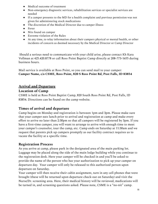- Medical outcome of treatment
- Non-emergency diagnostic services, rehabilitation services or specialist services are needed
- If a camper presents to the MD for a health complaint and previous permission was not given for administering stock medications
- The discretion of the Medical Director due to camper illness
- Fever
- Nits found on camper
- Extreme violation of the Rules
- At any time, to relay information about their campers physical or mental health, or other incidents of concern as deemed necessary by the Medical Director or Camp Director

Should a serious need to communicate with your child arise, please contact Kh Kara Vollman at 425.420.8778 or call Ross Point Baptist Camp directly at 208-773-1655 during business hours.

Mail service is available at Ross Point, so you can send mail to your camper: **Camper Name, c/o CSME, Ross Point, 820 S Ross Point Rd, Post Falls, ID 83854**

#### **Arrival and Departure**

#### **Location of Camp**

CSME is held at Ross Point Baptist Camp, 820 South Ross Point Rd, Post Falls, ID 83854. Directions can be found on the camp website.

#### **Times of arrival and departure**

Camp begins on Monday and registration is between 1pm and 3pm. Please make sure that your camper eats lunch prior to arrival and registration at camp and make every effort to arrive no later than 2:30pm so that all campers will be registered by 3pm. If you have a first-time camper, you will want to arrange to arrive with enough time to meet your camper's counselor, tour the camp, etc. Camp ends on Saturday at 11:30am and we request that parents pick up campers promptly as our facility contract requires us to vacate the facility at a specific time.

#### **Registration Process**

As you arrive at camp, please park in the designated area of the main parking lot. Luggage may be placed along the side of the main lodge building while you continue to the registration desk. Here your camper will be checked in and you'll be asked to provide the name of the person who has your authorization to pick up your camper on departure day. Your camper will only be released to this authorized person upon departure on Saturday.

Your camper will then receive their cabin assignment, turn in any cell phones that were brought (these will be returned upon departure check-out on Saturday) and visit the Nurse/Dr. screening area. Here, their medical history will be reviewed, medications will be turned in, and screening questions asked. Please note, CSME is a "no-nit" camp.